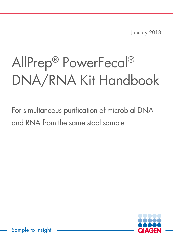January 2018

# AllPrep® PowerFecal® DNA/RNA Kit Handbook

For simultaneous purification of microbial DNA and RNA from the same stool sample



Sample to Insight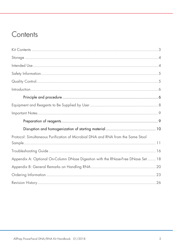### Contents

| Protocol: Simultaneous Purification of Microbial DNA and RNA from the Same Stool |  |
|----------------------------------------------------------------------------------|--|
|                                                                                  |  |
|                                                                                  |  |
| Appendix A: Optional On-Column DNase Digestion with the RNase-Free DNase Set  18 |  |
|                                                                                  |  |
|                                                                                  |  |
|                                                                                  |  |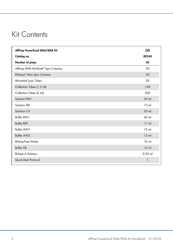### Kit Contents

| AllPrep PowerFecal DNA/RNA Kit     | (50)            |
|------------------------------------|-----------------|
| Catalog no.                        | 80244           |
| Number of preps                    | 50              |
| AllPrep DNA MinElute® Spin Columns | 50              |
| RNeasy® Mini Spin Columns          | 50              |
| Microbial Lysis Tubes              | 50              |
| Collection Tubes (1.5 ml)          | 150             |
| Collection Tubes (2 ml)            | 300             |
| Solution PM1                       | 55 ml           |
| Solution IRS                       | $15$ ml         |
| Solution C4                        | 30 ml           |
| Buffer RW1                         | 45 ml           |
| <b>Buffer RPE</b>                  | 11 ml           |
| Buffer AW1                         | $19$ ml         |
| Buffer AW2                         | $13 \text{ ml}$ |
| <b>RNase-Free Water</b>            | 10 <sub>m</sub> |
| <b>Buffer EB</b>                   | $15$ ml         |
| <b>RNase A Solution</b>            | $0.25$ ml       |
| Quick-Start Protocol               | $\mathbf{1}$    |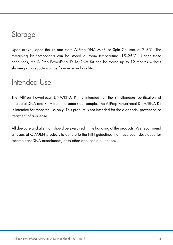### Storage

Upon arrival, open the kit and store AllPrep DNA MinElute Spin Columns at 2–8°C. The remaining kit components can be stored at room temperature (15–25°C). Under these conditions, the AllPrep PowerFecal DNA/RNA Kit can be stored up to 12 months without showing any reduction in performance and quality.

### Intended Use

The AllPrep PowerFecal DNA/RNA Kit is intended for the simultaneous purification of microbial DNA and RNA from the same stool sample. The AllPrep PowerFecal DNA/RNA Kit is intended for research use only. This product is not intended for the diagnosis, prevention or treatment of a disease.

All due care and attention should be exercised in the handling of the products. We recommend all users of QIAGEN products to adhere to the NIH guidelines that have been developed for recombinant DNA experiments, or to other applicable guidelines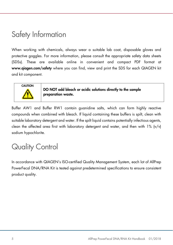### Safety Information

When working with chemicals, always wear a suitable lab coat, disposable gloves and protective goggles. For more information, please consult the appropriate safety data sheets (SDSs). These are available online in convenient and compact PDF format at www.qiagen.com/safety where you can find, view and print the SDS for each QIAGEN kit and kit component.



DO NOT add bleach or acidic solutions directly to the sample preparation waste.

Buffer AW1 and Buffer RW1 contain guanidine salts, which can form highly reactive compounds when combined with bleach. If liquid containing these buffers is spilt, clean with suitable laboratory detergent and water. If the spilt liquid contains potentially infectious agents, clean the affected area first with laboratory detergent and water, and then with  $1\%$  (v/v) sodium hypochlorite.

### Quality Control

In accordance with QIAGEN's ISO-certified Quality Management System, each lot of AllPrep PowerFecal DNA/RNA Kit is tested against predetermined specifications to ensure consistent product quality.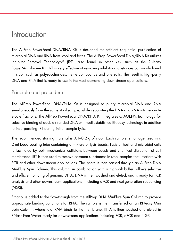### Introduction

The AllPrep PowerFecal DNA/RNA Kit is designed for efficient sequential purification of microbial DNA and RNA from stool and feces. The AllPrep PowerFecal DNA/RNA Kit utilizes Inhibitor Removal Technology® (IRT), also found in other kits, such as the RNeasy PowerMicrobiome Kit. IRT is very effective at removing inhibitory substances commonly found in stool, such as polysaccharides, heme compounds and bile salts. The result is high-purity DNA and RNA that is ready to use in the most demanding downstream applications.

### Principle and procedure

The AllPrep PowerFecal DNA/RNA Kit is designed to purify microbial DNA and RNA simultaneously from the same stool sample, while separating the DNA and RNA into separate eluate fractions. The AllPrep PowerFecal DNA/RNA Kit integrates QIAGEN's technology for selective binding of double-stranded DNA with well-established RNeasy technology in addition to incorporating IRT during initial sample lysis.

The recommended starting material is 0.1–0.2 g of stool. Each sample is homogenized in a 2 ml bead beating tube containing a mixture of lysis beads. Lysis of host and microbial cells is facilitated by both mechanical collisions between beads and chemical disruption of cell membranes. IRT is then used to remove common substances in stool samples that interfere with PCR and other downstream applications. The lysate is then passed through an AllPrep DNA MinElute Spin Column. This column, in combination with a high-salt buffer, allows selective and efficient binding of genomic DNA. DNA is then washed and eluted, and is ready for PCR analysis and other downstream applications, including qPCR and next-generation sequencing (NGS).

Ethanol is added to the flow-through from the AllPrep DNA MinElute Spin Column to provide appropriate binding conditions for RNA. The sample is then transferred on an RNeasy Mini Spin Column, where total RNA binds to the membrane. RNA is then washed and eluted in RNase-Free Water ready for downstream applications including PCR, qPCR and NGS.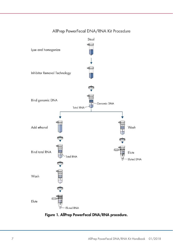#### AllPrep PowerFecal DNA/RNA Kit Procedure



Figure 1. AllPrep PowerFecal DNA/RNA procedure.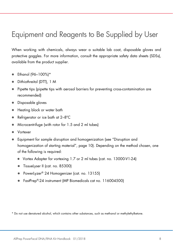### Equipment and Reagents to Be Supplied by User

When working with chemicals, always wear a suitable lab coat, disposable gloves and protective goggles. For more information, consult the appropriate safety data sheets (SDSs), available from the product supplier.

- Ethanol (96–100%)\*
- Dithiothreitol (DTT), 1 M
- Pipette tips (pipette tips with aerosol barriers for preventing cross-contamination are recommended)
- Disposable gloves
- Heating block or water bath
- Refrigerator or ice bath at 2-8°C
- Microcentrifuge (with rotor for 1.5 and 2 ml tubes)
- Vortexer
- Equipment for sample disruption and homogenization (see "Disruption and homogenization of starting material", page 10). Depending on the method chosen, one of the following is required:
	- Vortex Adapter for vortexing 1.7 or 2 ml tubes (cat. no. 13000-V1-24)
	- **TissueLyser II (cat. no. 85300)**
	- PowerLyzer<sup>®</sup> 24 Homogenizer (cat. no. 13155)
	- FastPrep®-24 instrument (MP Biomedicals cat no. 116004500)

\* Do not use denatured alcohol, which contains other substances, such as methanol or methylethylketone.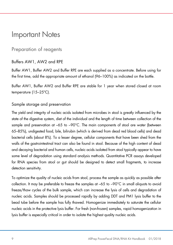### Important Notes

### Preparation of reagents

### Buffers AW1, AW2 and RPE

Buffer AW1, Buffer AW2 and Buffer RPE are each supplied as a concentrate. Before using for the first time, add the appropriate amount of ethanol (96–100%) as indicated on the bottle.

Buffer AW1, Buffer AW2 and Buffer RPE are stable for 1 year when stored closed at room temperature (15–25ºC).

### Sample storage and preservation

The yield and integrity of nucleic acids isolated from microbes in stool is greatly influenced by the state of the digestive system, diet of the individual and the length of time between collection of the sample and preservation at –65 to –90°C. The main components of stool are water (between 65–85%), undigested food, bile, bilirubin (which is derived from dead red blood cells) and dead bacterial cells (about 8%). To a lesser degree, cellular components that have been shed from the walls of the gastrointestinal tract can also be found in stool. Because of the high content of dead and decaying bacterial and human cells, nucleic acids isolated from stool typically appear to have some level of degradation using standard analysis methods. Quantitative PCR assays developed for RNA species from stool or gut should be designed to detect small fragments, to increase detection sensitivity.

To optimize the quality of nucleic acids from stool, process the sample as quickly as possible after collection. It may be preferable to freeze the samples at –65 to –90°C in small aliquots to avoid freeze/thaw cycles of the bulk sample, which can increase the lysis of cells and degradation of nucleic acids. Samples should be processed rapidly by adding DDT and PM1 lysis buffer to the bead tube before the sample has fully thawed. Homogenize immediately to saturate the cellular nucleic acids in the protective lysis buffer. For fresh (non-frozen) samples, rapid homogenization in lysis buffer is especially critical in order to isolate the highest quality nucleic acids.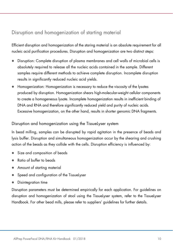### Disruption and homogenization of starting material

Efficient disruption and homogenization of the staring material is an absolute requirement for all nucleic acid purification procedures. Disruption and homogenization are two distinct steps:

- Disruption: Complete disruption of plasma membranes and cell walls of microbial cells is absolutely required to release all the nucleic acids contained in the sample. Different samples require different methods to achieve complete disruption. Incomplete disruption results in significantly reduced nucleic acid yields.
- Homogenization: Homogenization is necessary to reduce the viscosity of the lysates produced by disruption. Homogenization shears high-molecular-weight cellular components to create a homogeneous lysate. Incomplete homogenization results in inefficient binding of DNA and RNA and therefore significantly reduced yield and purity of nucleic acids. Excessive homogenization, on the other hand, results in shorter genomic DNA fragments.

#### Disruption and homogenization using the TissueLyser system

In bead milling, samples can be disrupted by rapid agitation in the presence of beads and lysis buffer. Disruption and simultaneous homogenization occur by the shearing and crushing action of the beads as they collide with the cells. Disruption efficiency is influenced by:

- Size and composition of beads
- Ratio of buffer to beads
- Amount of starting material
- Speed and configuration of the TissueLyser
- Disintegration time

Disruption parameters must be determined empirically for each application. For guidelines on disruption and homogenization of stool using the TissueLyser system, refer to the TissueLyser Handbook. For other bead mills, please refer to suppliers' guidelines for further details.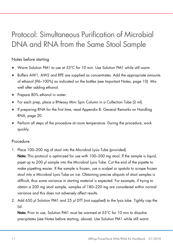### Protocol: Simultaneous Purification of Microbial DNA and RNA from the Same Stool Sample

### Notes before starting

- Warm Solution PM1 to use at 55°C for 10 min. Use Solution PM1 while still warm.
- Buffers AW1, AW2 and RPE are supplied as concentrates. Add the appropriate amounts of ethanol (96–100%) as indicated on the bottles (see Important Notes, page 10). Mix well after adding ethanol.
- Prepare 80% ethanol in water.
- For each prep, place a RNeasy Mini Spin Column in a Collection Tube (2 ml).
- If preparing RNA for the first time, read Appendix B: General Remarks on Handling RNA, page 20.
- Perform all steps of the procedure at room temperature. During the procedure, work quickly.

#### Procedure

- 1. Place 100–200 mg of stool into the Microbial Lysis Tube (provided).
- Note: This protocol is optimized for use with 100–200 mg stool. If the sample is liquid, pipet up to 200 µl sample into the Microbial Lysis Tube. Cut the end of the pipette to make pipetting easier. If the sample is frozen, use a scalpel or spatula to scrape frozen stool into a Microbial Lysis Tube on ice. Obtaining precise aliquots of stool samples is difficult, thus some variance in starting material is expected. For example, if trying to obtain a 200 mg stool sample, samples of 180–220 mg are considered within normal variance and this does not adversely affect results.
- 2. Add 650 µl Solution PM1 and 25 µl DTT (not supplied) to the lysis tube. Tightly cap the lid.

Note: Prior to use, Solution PM1 must be warmed at 55°C for 10 min to dissolve precipitates (see Notes before starting, above). Use Solution PM1 while still warm.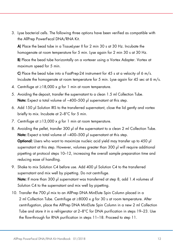3. Lyse bacterial cells. The following three options have been verified as compatible with the AllPrep PowerFecal DNA/RNA Kit.

A) Place the bead tube in a TissueLyser II for 2 min 30 s at 30 Hz. Incubate the homogenate at room temperature for 5 min. Lyse again for 2 min 30 s at 30 Hz.

B) Place the bead tube horizontally on a vortexer using a Vortex Adapter. Vortex at maximum speed for 5 min.

C) Place the bead tube into a FastPrep-24 instrument for 45 s at a velocity of 6 m/s. Incubate the homogenate at room temperature for 5 min. Lyse again for 45 sec at 6 m/s.

- 4. Centrifuge at  $\geq$ 18,000 x g for 1 min at room temperature.
- 5. Avoiding the deposit, transfer the supernatant to a clean 1.5 ml Collection Tube. Note: Expect a total volume of ~400-500 µl supernatant at this step.
- 6. Add 150 µl Solution IRS to the transferred supernatant, close the lid gently and vortex briefly to mix. Incubate at 2–8°C for 5 min.
- 7. Centrifuge at  $\geq$ 13,000 x q for 1 min at room temperature.
- 8. Avoiding the pellet, transfer 300 µl of the supernatant to a clean 2 ml Collection Tube. Note: Expect a total volume of ~400–500 µl supernatant at this step. Optional: Users who want to maximize nucleic acid yield may transfer up to 450 µl supernatant at this step. However, volumes greater than 300 µl will require additional pipetting at protocol steps 10–12, increasing the overall sample preparation time and reducing ease of handling.
- 9. Shake to mix Solution C4 before use. Add 400 µl Solution C4 to the transferred supernatant and mix well by pipetting. Do not centrifuge. Note: If more than 300 µl supernatant was transferred at step 8, add 1.4 volumes of Solution C4 to the supernatant and mix well by pipetting.
- 10. Transfer the 700 µl mix to an AllPrep DNA MinElute Spin Column placed in a 2 ml Collection Tube. Centrifuge at  $\geq 8000 \times g$  for 30 s at room temperature. After centrifugation, place the AllPrep DNA MinElute Spin Column in a new 2 ml Collection Tube and store it in a refrigerator at 2–8°C for DNA purification in steps 19–23. Use the flow-through for RNA purification in steps 11–18. Proceed to step 11.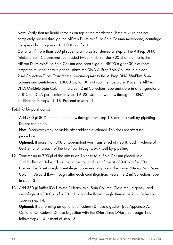Note: Verify that no liquid remains on top of the membrane. If the mixture has not completely passed through the AllPrep DNA MinElute Spin Column membrane, centrifuge the spin column again at  $\geq$ 13,000 x g for 1 min.

Optional: If more than 300 µl supernatant was transferred at step 8, the AllPrep DNA MinElute Spin Column must be loaded twice. First, transfer 700 µl of the mix to the AllPrep DNA MinElute Spin Column and centrifuge at  $\geq 8000 \times g$  for 30 s at room temperature. After centrifugation, place the DNA AllPrep Spin Column in a clean 2 ml Collection Tube. Transfer the remaining mix to the AllPrep DNA MinElute Spin Column and centrifuge at  $\geq 8000 \times g$  for 30 s at room temperature. Place the AllPrep DNA MinElute Spin Column in a clean 2 ml Collection Tube and store in a refrigerator at 2–8°C for DNA purification in steps 19–23. Use the two flow-through for RNA purification in steps 11–18. Proceed to step 11.

Total RNA purification

11. Add 700 µl 80% ethanol to the flow-through from step 10, and mix well by pipetting. Do not centrifuge.

Note: Precipitates may be visible after addition of ethanol. This does not affect the procedure.

**Optional:** If more than 300 µl supernatant was transferred at step 8, add 1 volume of 80% ethanol to each of the two flow-throughs. Mix well by pipetting.

- 12. Transfer up to 700 µl of the mix to an RNeasy Mini Spin Column placed in a 2 ml Collection Tube. Close the lid gently, and centrifuge at  $\geq 8000 \times q$  for 30 s. Discard the flow-through. Centrifuge successive aliquots in the same RNeasy Mini Spin Column. Discard flow-through after each centrifugation. Reuse the 2 ml Collection Tube in step 13.
- 13. Add 350 µl Buffer RW1 to the RNeasy Mini Spin Column. Close the lid gently, and centrifuge at  $>8000 \times g$  for 30 s. Discard the flow-through. Reuse the 2 ml Collection Tube in step 14.

**Optional:** If performing an optional on-column DNase digestion (see Appendix A: Optional On-Column DNase Digestion with the RNase-Free DNase Set, page 18), follow steps 1–4 instead of step 13.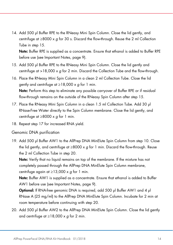14. Add 500 µl Buffer RPE to the RNeasy Mini Spin Column. Close the lid gently, and centrifuge at  $\geq 8000 \times g$  for 30 s. Discard the flow-through. Reuse the 2 ml Collection Tube in step 15.

Note: Buffer RPE is supplied as a concentrate. Ensure that ethanol is added to Buffer RPE before use (see Important Notes, page 9).

- 15. Add 500 µl Buffer RPE to the RNeasy Mini Spin Column. Close the lid gently and centrifuge at  $>18,000 \times g$  for 2 min. Discard the Collection Tube and the flow-through.
- 16. Place the RNeasy Mini Spin Column in a clean 2 ml Collection Tube. Close the lid gently and centrifuge at  $\geq$ 18,000 x q for 1 min. Note: Perform this step to eliminate any possible carryover of Buffer RPE or if residual flow-through remains on the outside of the RNeasy Spin Column after step 15.
- 17. Place the RNeasy Mini Spin Column in a clean 1.5 ml Collection Tube. Add 30 µl RNase-Free Water directly to the Spin Column membrane. Close the lid gently, and centrifuge at  $\geq 8000 \times q$  for 1 min.
- 18. Repeat step 17 for increased RNA yield.

#### Genomic DNA purification

19. Add 500 µl Buffer AW1 to the AllPrep DNA MinElute Spin Column from step 10. Close the lid gently, and centrifuge at  $\geq$ 8000 x g for 1 min. Discard the flow-through. Reuse the 2 ml Collection Tube in step 20.

Note: Verify that no liquid remains on top of the membrane. If the mixture has not completely passed through the AllPrep DNA MinElute Spin Column membrane, centrifuge again at  $\geq$ 13,000 x g for 1 min.

Note: Buffer AW1 is supplied as a concentrate. Ensure that ethanol is added to Buffer AW1 before use (see Important Notes, page 9).

Optional: If RNA-free genomic DNA is required, add 500 µl Buffer AW1 and 4 µl RNase A (25 mg/ml) to the AllPrep DNA MinElute Spin Column. Incubate for 2 min at room temperature before continuing with step 20.

20. Add 500 µl Buffer AW2 to the AllPrep DNA MinElute Spin Column. Close the lid gently and centrifuge at  $\geq$ 18,000 x g for 2 min.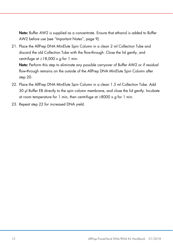Note: Buffer AW2 is supplied as a concentrate. Ensure that ethanol is added to Buffer AW2 before use (see "Important Notes", page 9).

21. Place the AllPrep DNA MinElute Spin Column in a clean 2 ml Collection Tube and discard the old Collection Tube with the flow-through. Close the lid gently, and centrifuge at  $\geq$ 18,000 x g for 1 min.

Note: Perform this step to eliminate any possible carryover of Buffer AW2 or if residual flow-through remains on the outside of the AllPrep DNA MinElute Spin Column after step 20.

- 22. Place the AllPrep DNA MinElute Spin Column in a clean 1.5 ml Collection Tube. Add 30 µl Buffer EB directly to the spin column membrane, and close the lid gently. Incubate at room temperature for 1 min, then centrifuge at  $\geq$ 8000 x g for 1 min.
- 23. Repeat step 22 for increased DNA yield.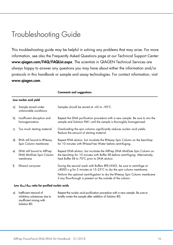### Troubleshooting Guide

This troubleshooting guide may be helpful in solving any problems that may arise. For more information, see also the Frequently Asked Questions page at our Technical Support Center: www.qiagen.com/FAQ/FAQList.aspx. The scientists in QIAGEN Technical Services are always happy to answer any questions you may have about either the information and/or protocols in this handbook or sample and assay technologies. For contact information, visit www.qiagen.com.

|    |                                                                    | <b>Comments and suggestions</b>                                                                                                                                                                                                                                                            |  |
|----|--------------------------------------------------------------------|--------------------------------------------------------------------------------------------------------------------------------------------------------------------------------------------------------------------------------------------------------------------------------------------|--|
|    | Low nucleic acid yield                                             |                                                                                                                                                                                                                                                                                            |  |
| a) | Sample stored under<br>unfavorable conditions                      | Samples should be stored at -65 to -90°C.                                                                                                                                                                                                                                                  |  |
| b) | Insufficient disruption and<br>homogenization                      | Repeat the DNA purification procedure with a new sample. Be sure to mix the<br>sample and Solution PM1 until the sample is thoroughly homogenized.                                                                                                                                         |  |
| c) | Too much starting material                                         | Overloading the spin columns significantly reduces nucleic acid yields.<br>Reduce the amount of starting material.                                                                                                                                                                         |  |
| d) | RNA still bound to RNeasy<br>Spin Column membrane                  | Repeat RNA elution, but incubate the RNeasy Spin Column on the benchtop<br>for 10 minutes with RNase-Free Water before centrifuging.                                                                                                                                                       |  |
| e) | DNA still bound to AllPrep<br>DNA MinElute Spin Column<br>membrane | Repeat DNA elution, but incubate the AllPrep DNA MinElute Spin Column on<br>the benchtop for 10 minutes with Buffer EB before centrifuging. Alternatively,<br>heat Buffer EB to 70°C prior to DNA elution.                                                                                 |  |
| f) | Ethanol carryover                                                  | During the second wash with Buffers RPE/AW2, be sure to centrifuge at<br>≥8000 x g for 2 minutes at 15-25°C to dry the spin column membrane.<br>Perform the optional centrifugation to dry the RNeasy Spin Column membrane<br>if any flow-through is present on the outside of the column. |  |

#### Low A260/A280 ratio for purified nucleic acids

| a) Inefficient removal of    | Repeat the nucleic acid purification procedure with a new sample. Be sure to |
|------------------------------|------------------------------------------------------------------------------|
| inhibitory substances due to | briefly vortex the sample after addition of Solution IRS.                    |
| insufficient mixing with     |                                                                              |
| Solution IRS                 |                                                                              |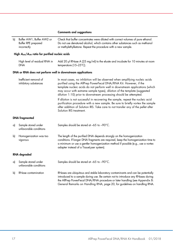#### Comments and suggestions

| b) | Buffer AW1, Buffer AW2 or<br>Buffer RPE prepared<br>incorrectly | Check that buffer concentrates were diluted with correct volumes of pure ethanol.<br>Do not use denatured alcohol, which contains other substances such as methanol<br>or methylethylketone. Repeat the procedure with a new sample.                                                                                                                                                 |  |
|----|-----------------------------------------------------------------|--------------------------------------------------------------------------------------------------------------------------------------------------------------------------------------------------------------------------------------------------------------------------------------------------------------------------------------------------------------------------------------|--|
|    | High $A_{260}/A_{280}$ ratio for purified nucleic acids         |                                                                                                                                                                                                                                                                                                                                                                                      |  |
|    | High level of residual RNA in<br>DNA                            | Add 20 µ RNase A (25 mg/ml) to the eluate and incubate for 10 minutes at room<br>temperature (15-25°C).                                                                                                                                                                                                                                                                              |  |
|    | DNA or RNA does not perform well in downstream applications     |                                                                                                                                                                                                                                                                                                                                                                                      |  |
|    | Inefficient removal of<br>inhibitory substances                 | In most cases, no inhibition will be observed when amplifying nucleic acids<br>purified using the AllPrep PowerFecal DNA/RNA Kit. However, if the<br>template nucleic acids do not perform well in downstream applications (which<br>may occur with extreme sample types), dilution of the template (suggested<br>dilution 1:10) prior to downstream processing should be attempted. |  |
|    |                                                                 | If dilution is not successful in recovering the sample, repeat the nucleic acid<br>purification procedure with a new sample. Be sure to briefly vortex the sample<br>after addition of Solution IRS. Take care to not transfer any of the pellet after<br>Solution IRS treatment.                                                                                                    |  |
|    | <b>DNA</b> fragmented                                           |                                                                                                                                                                                                                                                                                                                                                                                      |  |
| a) | Sample stored under<br>unfavorable conditions                   | Samples should be stored at -65 to -90°C.                                                                                                                                                                                                                                                                                                                                            |  |
| b) | Homogenization was too<br>vigorous                              | The length of the purified DNA depends strongly on the homogenization<br>conditions. If longer DNA fragments are required, keep the homogenization time to<br>a minimum or use a gentler homogenization method if possible (e.g., use a vortex<br>adapter instead of a TissueLyser system).                                                                                          |  |
|    | RNA degraded                                                    |                                                                                                                                                                                                                                                                                                                                                                                      |  |
| a) | Sample stored under<br>unfavorable conditions                   | Samples should be stored at -65 to -90°C.                                                                                                                                                                                                                                                                                                                                            |  |
| b) | RNase contamination                                             | RNases are ubiquitous and stable laboratory contaminants and can be potentially<br>introduced to a sample during use. Be certain not to introduce any RNases during<br>the AllPrep PowerFecal DNA/RNA procedure or later handling (see Appendix B:<br>General Remarks on Handling RNA, page 20, for guidelines on handling RNA.                                                      |  |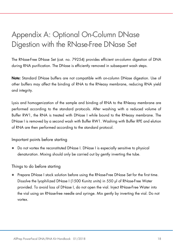### Appendix A: Optional On-Column DNase Digestion with the RNase-Free DNase Set

The RNase-Free DNase Set (cat. no. 79254) provides efficient on-column digestion of DNA during RNA purification. The DNase is efficiently removed in subsequent wash steps.

Note: Standard DNase buffers are not compatible with on-column DNase digestion. Use of other buffers may affect the binding of RNA to the RNeasy membrane, reducing RNA yield and integrity.

Lysis and homogenization of the sample and binding of RNA to the RNeasy membrane are performed according to the standard protocols. After washing with a reduced volume of Buffer RW1, the RNA is treated with DNase I while bound to the RNeasy membrane. The DNase I is removed by a second wash with Buffer RW1. Washing with Buffer RPE and elution of RNA are then performed according to the standard protocol.

Important points before starting

 Do not vortex the reconstituted DNase I. DNase I is especially sensitive to physical denaturation. Mixing should only be carried out by gently inverting the tube.

#### Things to do before starting

 Prepare DNase I stock solution before using the RNase-Free DNase Set for the first time. Dissolve the lyophilized DNase I (1500 Kunitz units) in 550 µl of RNase-Free Water provided. To avoid loss of DNase I, do not open the vial. Inject RNase-Free Water into the vial using an RNase-free needle and syringe. Mix gently by inverting the vial. Do not vortex.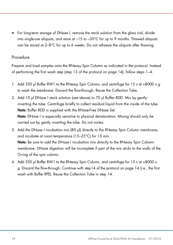• For long-term storage of DNase I, remove the stock solution from the glass vial, divide into single-use aliquots, and store at  $-15$  to  $-30^{\circ}$ C for up to 9 months. Thawed aliquots can be stored at 2–8°C for up to 6 weeks. Do not refreeze the aliquots after thawing.

#### Procedure

Prepare and load samples onto the RNeasy Spin Column as indicated in the protocol. Instead of performing the first wash step (step 13 of the protocol on page 14), follow steps 1–4.

- 1. Add 350 µl Buffer RW1 to the RNeasy Spin Column, and centrifuge for 15 s at >8000 x g to wash the membrane. Discard the flow-through. Reuse the Collection Tube.
- 2. Add 10 µl DNase I stock solution (see above) to 70 µl Buffer RDD. Mix by gently inverting the tube. Centrifuge briefly to collect residual liquid from the inside of the tube. Note: Buffer RDD is supplied with the RNase-Free DNase Set. Note: DNase I is especially sensitive to physical denaturation. Mixing should only be carried out by gently inverting the tube. Do not vortex.
- 3. Add the DNase I incubation mix (80 µl) directly to the RNeasy Spin Column membrane, and incubate at room temperature (15–25°C) for 15 min. Note: Be sure to add the DNase I incubation mix directly to the RNeasy Spin Column membrane. DNase digestion will be incomplete if part of the mix sticks to the walls of the O-ring of the spin column.
- 4. Add 350 µl Buffer RW1 to the RNeasy Spin Column, and centrifuge for 15 s at >8000 x g. Discard the flow-through. Continue with step14 of the protocol on page 14 (i.e., the first wash with Buffer RPE). Reuse the Collection Tube in step 14.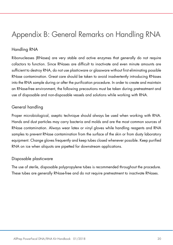### Appendix B: General Remarks on Handling RNA

### Handling RNA

Ribonucleases (RNases) are very stable and active enzymes that generally do not require cofactors to function. Since RNases are difficult to inactivate and even minute amounts are sufficient to destroy RNA, do not use plasticware or glassware without first eliminating possible RNase contamination. Great care should be taken to avoid inadvertently introducing RNases into the RNA sample during or after the purification procedure. In order to create and maintain an RNase-free environment, the following precautions must be taken during pretreatment and use of disposable and non-disposable vessels and solutions while working with RNA.

#### General handling

Proper microbiological, aseptic technique should always be used when working with RNA. Hands and dust particles may carry bacteria and molds and are the most common sources of RNase contamination. Always wear latex or vinyl gloves while handling reagents and RNA samples to prevent RNase contamination from the surface of the skin or from dusty laboratory equipment. Change gloves frequently and keep tubes closed whenever possible. Keep purified RNA on ice when aliquots are pipetted for downstream applications.

#### Disposable plasticware

The use of sterile, disposable polypropylene tubes is recommended throughout the procedure. These tubes are generally RNase-free and do not require pretreatment to inactivate RNases.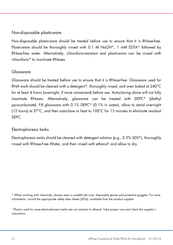### Non-disposable plasticware

Non-disposable plasticware should be treated before use to ensure that it is RNase-free. Plasticware should be thoroughly rinsed with 0.1 M NaOH\*, 1 mM EDTA\* followed by RNase-free water. Alternatively, chloroform-resistant and plasticware can be rinsed with chloroform\* to inactivate RNases.

#### Glassware

Glassware should be treated before use to ensure that it is RNase-free. Glassware used for RNA work should be cleaned with a detergent\*, thoroughly rinsed, and oven baked at 240°C for at least 4 hours (overnight, if more convenient) before use. Autoclaving alone will not fully inactivate RNases. Alternatively, glassware can be treated with DEPC\* (diethyl pyrocarbonate). Fill glassware with 0.1% DEPC\* (0.1% in water), allow to stand overnight (12 hours) at 37°C, and then autoclave or heat to 100°C for 15 minutes to eliminate residual DEPC.

#### Electrophoresis tanks

Electrophoresis tanks should be cleaned with detergent solution (e.g., 0.5% SDS\*), thoroughly rinsed with RNase-Free Water, and then rinsed with ethanol† and allow to dry.

\* When working with chemicals, always wear a suitable lab coat, disposable gloves and protective goggles. For more information, consult the appropriate safety data sheets (SDSs), available from the product supplier.

† Plastics used for some electrophoresis tanks are not resistant to ethanol. Take proper care and check the supplier's instructions.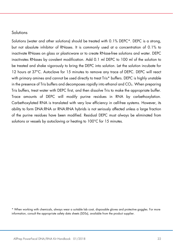#### **Solutions**

Solutions (water and other solutions) should be treated with 0.1% DEPC\*. DEPC is a strong, but not absolute inhibitor of RNases. It is commonly used at a concentration of 0.1% to inactivate RNases on glass or plasticware or to create RNase-free solutions and water. DEPC inactivates RNases by covalent modification. Add 0.1 ml DEPC to 100 ml of the solution to be treated and shake vigorously to bring the DEPC into solution. Let the solution incubate for 12 hours at 37°C. Autoclave for 15 minutes to remove any trace of DEPC. DEPC will react with primary amines and cannot be used directly to treat Tris\* buffers. DEPC is highly unstable in the presence of Tris buffers and decomposes rapidly into ethanol and  $CO<sub>2</sub>$ . When preparing Tris buffers, treat water with DEPC first, and then dissolve Tris to make the appropriate buffer. Trace amounts of DEPC will modify purine residues in RNA by carbethoxylation. Carbethoxylated RNA is translated with very low efficiency in cell-free systems. However, its ability to form DNA:RNA or RNA:RNA hybrids is not seriously affected unless a large fraction of the purine residues have been modified. Residual DEPC must always be eliminated from solutions or vessels by autoclaving or heating to 100°C for 15 minutes.

<sup>\*</sup> When working with chemicals, always wear a suitable lab coat, disposable gloves and protective goggles. For more information, consult the appropriate safety data sheets (SDSs), available from the product supplier.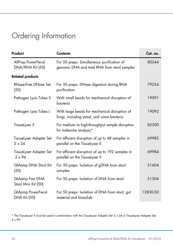## Ordering Information

| Product                                         | <b>Contents</b>                                                                            | Cat. no. |
|-------------------------------------------------|--------------------------------------------------------------------------------------------|----------|
| AllPrep PowerFecal<br>DNA/RNA Kit (50)          | For 50 preps: Simultaneous purification of<br>genomic DNA and total RNA from stool samples | 80244    |
| <b>Related products</b>                         |                                                                                            |          |
| <b>RNase-Free DNase Set</b><br>(50)             | For 50 preps: DNase digestion during RNA<br>purification                                   | 79254    |
| Pathogen Lysis Tubes S                          | With small beads for mechanical disruption of<br>bacteria                                  | 19091    |
| Pathogen Lysis Tubes L                          | With large beads for mechanical disruption of<br>fungi, including yeast, and some bacteria | 19092    |
| TissueLyser II                                  | For medium- to high-throughput sample disruption<br>for molecular analysis*                | 85300    |
| TissueLyser Adapter Set<br>$2 \times 24$        | For efficient disruption of up to 48 samples in<br>parallel on the TissueLyser II          | 69982    |
| TissueLyser Adapter Set<br>$2 \times 96$        | For efficient disruption of up to 192 samples in<br>parallel on the TissueLyser II         | 69984    |
| QIAamp DNA Stool Kit<br>(50)                    | For 50 preps: Isolation of gDNA from stool<br>samples                                      | 51604    |
| QIAamp Fast DNA<br>Stool Mini Kit (50)          | For 50 preps: Isolation of DNA from stool                                                  | 51504    |
| <b>QIAamp PowerFecal</b><br><b>DNA Kit (50)</b> | For 50 preps: Isolation of DNA from stool, gut<br>material and biosolids                   | 12830-50 |

\* The TissueLyser II must be used in combination with the TissueLyser Adapter Set 2 x 24 or TissueLyser Adapter Set 2 x 96.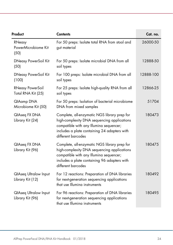| Product                                          | <b>Contents</b>                                                                                                                                                                                              | Cat. no.  |
|--------------------------------------------------|--------------------------------------------------------------------------------------------------------------------------------------------------------------------------------------------------------------|-----------|
| RNeasy<br>PowerMicrobiome Kit<br>(50)            | For 50 preps: Isolate total RNA from stool and<br>gut material                                                                                                                                               | 26000-50  |
| <b>DNeasy PowerSoil Kit</b><br>(50)              | For 50 preps: Isolate microbial DNA from all<br>soil types                                                                                                                                                   | 12888-50  |
| <b>DNeasy PowerSoil Kit</b><br>(100)             | For 100 preps: Isolate microbial DNA from all<br>soil types                                                                                                                                                  | 12888-100 |
| <b>RNeasy PowerSoil</b><br>Total RNA Kit (25)    | For 25 preps: Isolate high-quality RNA from all<br>soil types                                                                                                                                                | 12866-25  |
| QIAamp DNA<br>Microbiome Kit (50)                | For 50 preps: Isolation of bacterial microbiome<br>DNA from mixed samples                                                                                                                                    | 51704     |
| QIAseq FX DNA<br>Library Kit (24)                | Complete, all-enzymatic NGS library prep for<br>high-complexity DNA sequencing applications<br>compatible with any Illumina sequencer;<br>includes a plate containing 24 adapters with<br>different barcodes | 180473    |
| QIAseq FX DNA<br>Library Kit (96)                | Complete, all-enzymatic NGS library prep for<br>high-complexity DNA sequencing applications<br>compatible with any Illumina sequencer;<br>includes a plate containing 96 adapters with<br>different barcodes | 180475    |
| <b>QIAseq Ultralow Input</b><br>Library Kit (12) | For 12 reactions: Preparation of DNA libraries<br>for next-generation sequencing applications<br>that use Illumina instruments                                                                               | 180492    |
| <b>QIAseq Ultralow Input</b><br>Library Kit (96) | For 96 reactions: Preparation of DNA libraries<br>for next-generation sequencing applications<br>that use Illumina instruments                                                                               | 180495    |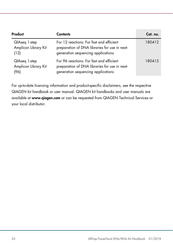| Product                                       | <b>Contents</b>                                                                                                                 | Cat. no. |
|-----------------------------------------------|---------------------------------------------------------------------------------------------------------------------------------|----------|
| QIAseq 1-step<br>Amplicon Library Kit<br>(12) | For 12 reactions: For fast and efficient<br>preparation of DNA libraries for use in next-<br>generation sequencing applications | 180412   |
| QIAseq 1-step<br>Amplicon Library Kit<br>(96) | For 96 reactions: For fast and efficient<br>preparation of DNA libraries for use in next-<br>generation sequencing applications | 180415   |

For up-to-date licensing information and product-specific disclaimers, see the respective QIAGEN kit handbook or user manual. QIAGEN kit handbooks and user manuals are available at www.qiagen.com or can be requested from QIAGEN Technical Services or your local distributor.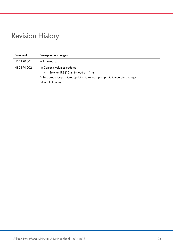### Revision History

| <b>Document</b> | Description of changes                                                                                                                                                           |
|-----------------|----------------------------------------------------------------------------------------------------------------------------------------------------------------------------------|
| HB-2190-001     | Initial release.                                                                                                                                                                 |
| HB-2190-002     | Kit Contents volumes updated:<br>Solution IRS (15 ml instead of 11 ml)<br>۰<br>DNA storage temperatures updated to reflect appropriate temperature ranges.<br>Editorial changes. |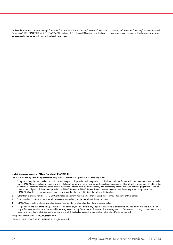Trademarks: QIAGEN®, Sample to Insighi®, QIAamp®, QIAseq™, AllPrep®, DNeasy®, MinElute®, PowerFecal®, PowerLyzer®, PowerSoil®, RNeasy®, Inhibitor Removal Technology® (IRT) (QIAGEN Group); FastPrep® (MP Biomedicals, LLC.); Illumina® (Illumina, Inc.). Registered names, trademarks, etc. used in this document, even when not specifically marked as such, may still be legally protected.

#### Limited License Agreement for AllPrep PowerFecal DNA/RNA Kit

Use of this product signifies the agreement of any purchaser or user of the product to the following terms:

- 1. The product may be used solely in accordance with the protocols provided with the product and this handbook and for use with components contained in the kit only. QIAGEN grants no license under any of its intellectual property to use or incorporate the enclosed components of this kit with any components not included within this kit except as described in the protocols provided with the product, this handbook, and additional protocols available at www.qiagen.com. Some of these additional protocols have been provided by QIAGEN users for QIAGEN users. These protocols have not been thoroughly tested or optimized by QIAGEN. QIAGEN neither guarantees them nor warrants that they do not infringe the rights of third-parties.
- 2. Other than expressly stated licenses, QIAGEN makes no warranty that this kit and/or its use(s) do not infringe the rights of third-parties.
- 3. This kit and its components are licensed for one-time use and may not be reused, refurbished, or resold.
- 4. QIAGEN specifically disclaims any other licenses, expressed or implied other than those expressly stated.
- 5. The purchaser and user of the kit agree not to take or permit anyone else to take any steps that could lead to or facilitate any acts prohibited above. QIAGEN may enforce the prohibitions of this Limited License Agreement in any Court, and shall recover all its investigative and Court costs, including attorney fees, in any action to enforce this Limited License Agreement or any of its intellectual property rights relating to the kit and/or its components.

For updated license terms, see www.qiagen.com.

1104468 HB-2190-002 © 2016 QIAGEN, all rights reserved.